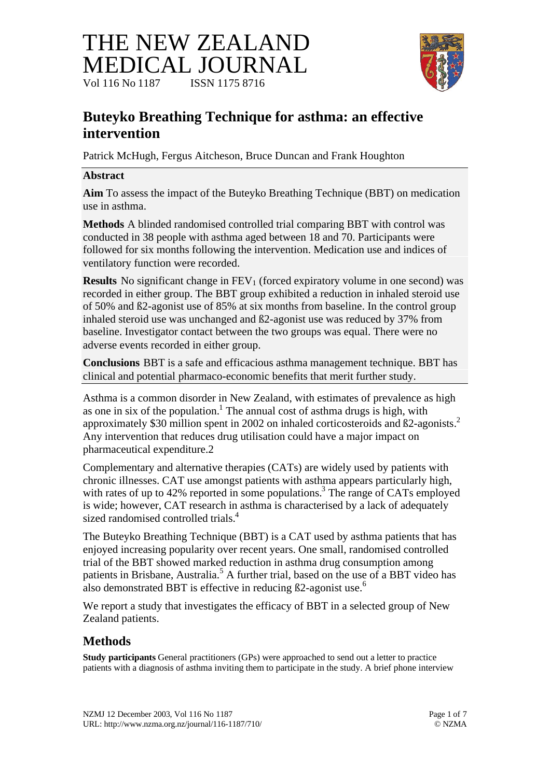# THE NEW ZEALAND MEDICAL JOURNAL Vol 116 No 1187 **ISSN 1175 8716**



# **Buteyko Breathing Technique for asthma: an effective intervention**

Patrick McHugh, Fergus Aitcheson, Bruce Duncan and Frank Houghton

### **Abstract**

**Aim** To assess the impact of the Buteyko Breathing Technique (BBT) on medication use in asthma.

**Methods** A blinded randomised controlled trial comparing BBT with control was conducted in 38 people with asthma aged between 18 and 70. Participants were followed for six months following the intervention. Medication use and indices of ventilatory function were recorded.

**Results** No significant change in  $FEV_1$  (forced expiratory volume in one second) was recorded in either group. The BBT group exhibited a reduction in inhaled steroid use of 50% and ß2-agonist use of 85% at six months from baseline. In the control group inhaled steroid use was unchanged and ß2-agonist use was reduced by 37% from baseline. Investigator contact between the two groups was equal. There were no adverse events recorded in either group.

**Conclusions** BBT is a safe and efficacious asthma management technique. BBT has clinical and potential pharmaco-economic benefits that merit further study.

Asthma is a common disorder in New Zealand, with estimates of prevalence as high as one in six of the population.<sup>1</sup> The annual cost of asthma drugs is high, with approximately \$30 million spent in 2002 on inhaled corticosteroids and ß2-agonists.<sup>2</sup> Any intervention that reduces drug utilisation could have a major impact on pharmaceutical expenditure.2

Complementary and alternative therapies (CATs) are widely used by patients with chronic illnesses. CAT use amongst patients with asthma appears particularly high, with rates of up to 42% reported in some populations.<sup>3</sup> The range of CATs employed is wide; however, CAT research in asthma is characterised by a lack of adequately sized randomised controlled trials.<sup>4</sup>

The Buteyko Breathing Technique (BBT) is a CAT used by asthma patients that has enjoyed increasing popularity over recent years. One small, randomised controlled trial of the BBT showed marked reduction in asthma drug consumption among patients in Brisbane, Australia.<sup>5</sup> A further trial, based on the use of a BBT video has also demonstrated BBT is effective in reducing  $\beta$ 2-agonist use.<sup>6</sup>

We report a study that investigates the efficacy of BBT in a selected group of New Zealand patients.

# **Methods**

**Study participants** General practitioners (GPs) were approached to send out a letter to practice patients with a diagnosis of asthma inviting them to participate in the study. A brief phone interview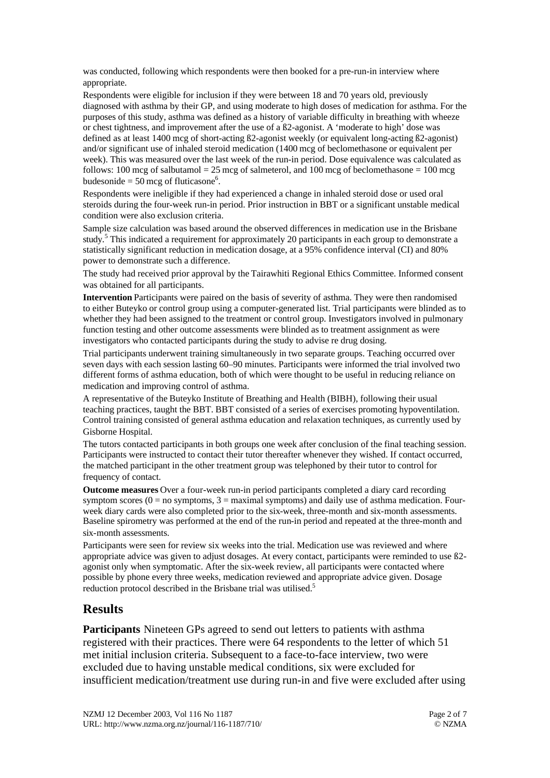was conducted, following which respondents were then booked for a pre-run-in interview where appropriate.

Respondents were eligible for inclusion if they were between 18 and 70 years old, previously diagnosed with asthma by their GP, and using moderate to high doses of medication for asthma. For the purposes of this study, asthma was defined as a history of variable difficulty in breathing with wheeze or chest tightness, and improvement after the use of a ß2-agonist. A 'moderate to high' dose was defined as at least 1400 mcg of short-acting ß2-agonist weekly (or equivalent long-acting ß2-agonist) and/or significant use of inhaled steroid medication (1400 mcg of beclomethasone or equivalent per week). This was measured over the last week of the run-in period. Dose equivalence was calculated as follows: 100 mcg of salbutamol = 25 mcg of salmeterol, and 100 mcg of beclomethasone = 100 mcg budesonide =  $50 \text{ meg of fluticasone}^6$ .

Respondents were ineligible if they had experienced a change in inhaled steroid dose or used oral steroids during the four-week run-in period. Prior instruction in BBT or a significant unstable medical condition were also exclusion criteria.

Sample size calculation was based around the observed differences in medication use in the Brisbane study.<sup>5</sup> This indicated a requirement for approximately 20 participants in each group to demonstrate a statistically significant reduction in medication dosage, at a 95% confidence interval (CI) and 80% power to demonstrate such a difference.

The study had received prior approval by the Tairawhiti Regional Ethics Committee. Informed consent was obtained for all participants.

**Intervention** Participants were paired on the basis of severity of asthma. They were then randomised to either Buteyko or control group using a computer-generated list. Trial participants were blinded as to whether they had been assigned to the treatment or control group. Investigators involved in pulmonary function testing and other outcome assessments were blinded as to treatment assignment as were investigators who contacted participants during the study to advise re drug dosing.

Trial participants underwent training simultaneously in two separate groups. Teaching occurred over seven days with each session lasting 60–90 minutes. Participants were informed the trial involved two different forms of asthma education, both of which were thought to be useful in reducing reliance on medication and improving control of asthma.

A representative of the Buteyko Institute of Breathing and Health (BIBH), following their usual teaching practices, taught the BBT. BBT consisted of a series of exercises promoting hypoventilation. Control training consisted of general asthma education and relaxation techniques, as currently used by Gisborne Hospital.

The tutors contacted participants in both groups one week after conclusion of the final teaching session. Participants were instructed to contact their tutor thereafter whenever they wished. If contact occurred, the matched participant in the other treatment group was telephoned by their tutor to control for frequency of contact.

**Outcome measures** Over a four-week run-in period participants completed a diary card recording symptom scores  $(0 = no$  symptoms,  $3 = maximal$  symptoms) and daily use of asthma medication. Fourweek diary cards were also completed prior to the six-week, three-month and six-month assessments. Baseline spirometry was performed at the end of the run-in period and repeated at the three-month and six-month assessments.

Participants were seen for review six weeks into the trial. Medication use was reviewed and where appropriate advice was given to adjust dosages. At every contact, participants were reminded to use ß2 agonist only when symptomatic. After the six-week review, all participants were contacted where possible by phone every three weeks, medication reviewed and appropriate advice given. Dosage reduction protocol described in the Brisbane trial was utilised.<sup>5</sup>

#### **Results**

**Participants** Nineteen GPs agreed to send out letters to patients with asthma registered with their practices. There were 64 respondents to the letter of which 51 met initial inclusion criteria. Subsequent to a face-to-face interview, two were excluded due to having unstable medical conditions, six were excluded for insufficient medication/treatment use during run-in and five were excluded after using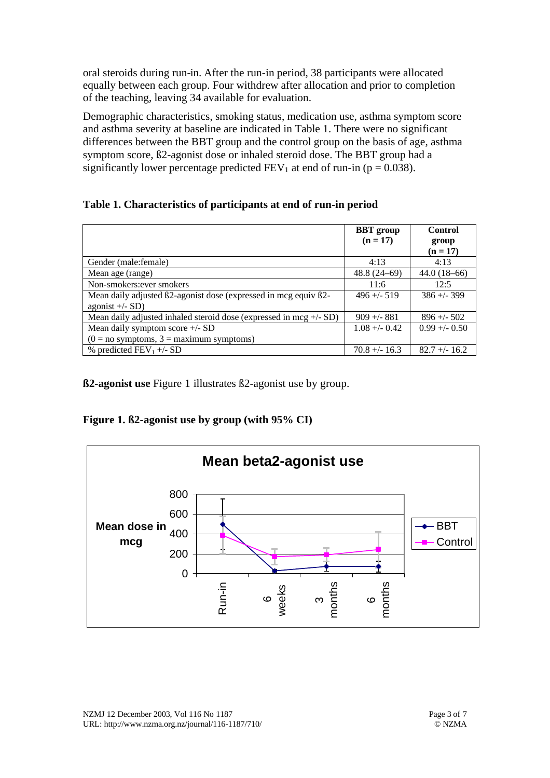oral steroids during run-in. After the run-in period, 38 participants were allocated equally between each group. Four withdrew after allocation and prior to completion of the teaching, leaving 34 available for evaluation.

Demographic characteristics, smoking status, medication use, asthma symptom score and asthma severity at baseline are indicated in Table 1. There were no significant differences between the BBT group and the control group on the basis of age, asthma symptom score, ß2-agonist dose or inhaled steroid dose. The BBT group had a significantly lower percentage predicted  $FEV_1$  at end of run-in (p = 0.038).

#### **Table 1. Characteristics of participants at end of run-in period**

|                                                                      | <b>BBT</b> group | <b>Control</b>  |
|----------------------------------------------------------------------|------------------|-----------------|
|                                                                      | $(n = 17)$       | group           |
|                                                                      |                  | $(n = 17)$      |
| Gender (male:female)                                                 | 4:13             | 4:13            |
| Mean age (range)                                                     | $48.8(24-69)$    | $44.0(18-66)$   |
| Non-smokers: ever smokers                                            | 11:6             | 12:5            |
| Mean daily adjusted B2-agonist dose (expressed in mcg equiv B2-      | $496 + - 519$    | $386 + - 399$   |
| agonist $+/-$ SD)                                                    |                  |                 |
| Mean daily adjusted inhaled steroid dose (expressed in mcg $+/-$ SD) | $909 + - 881$    | $896 + -502$    |
| Mean daily symptom score $+/-$ SD                                    | $1.08 + -0.42$   | $0.99 + - 0.50$ |
| $(0 = no$ symptoms, $3 =$ maximum symptoms)                          |                  |                 |
| % predicted $FEV_1 +/- SD$                                           | $70.8 + - 16.3$  | $82.7 + - 16.2$ |

**ß2-agonist use** Figure 1 illustrates ß2-agonist use by group.

**Figure 1. ß2-agonist use by group (with 95% CI)**

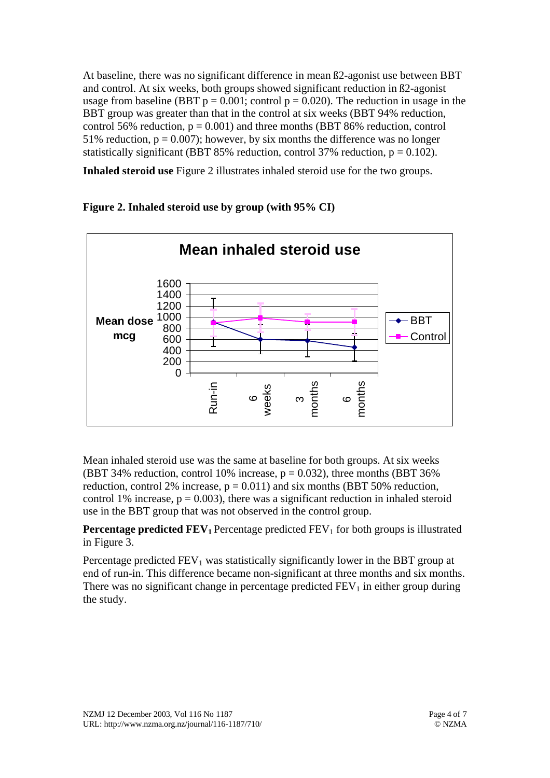At baseline, there was no significant difference in mean ß2-agonist use between BBT and control. At six weeks, both groups showed significant reduction in ß2-agonist usage from baseline (BBT  $p = 0.001$ ; control  $p = 0.020$ ). The reduction in usage in the BBT group was greater than that in the control at six weeks (BBT 94% reduction, control 56% reduction,  $p = 0.001$ ) and three months (BBT 86% reduction, control 51% reduction,  $p = 0.007$ ); however, by six months the difference was no longer statistically significant (BBT 85% reduction, control 37% reduction,  $p = 0.102$ ).

**Inhaled steroid use** Figure 2 illustrates inhaled steroid use for the two groups.



### **Figure 2. Inhaled steroid use by group (with 95% CI)**

Mean inhaled steroid use was the same at baseline for both groups. At six weeks (BBT 34% reduction, control 10% increase,  $p = 0.032$ ), three months (BBT 36%) reduction, control 2% increase,  $p = 0.011$ ) and six months (BBT 50% reduction, control 1% increase,  $p = 0.003$ ), there was a significant reduction in inhaled steroid use in the BBT group that was not observed in the control group.

**Percentage predicted FEV<sub>1</sub>** Percentage predicted FEV<sub>1</sub> for both groups is illustrated in Figure 3.

Percentage predicted  $FEV_1$  was statistically significantly lower in the BBT group at end of run-in. This difference became non-significant at three months and six months. There was no significant change in percentage predicted  $FEV<sub>1</sub>$  in either group during the study.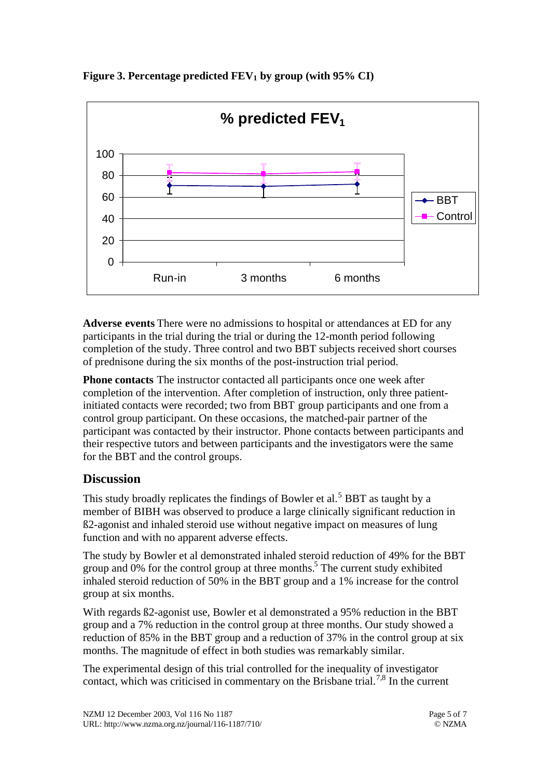

**Figure 3. Percentage predicted FEV1 by group (with 95% CI)**

**Adverse events** There were no admissions to hospital or attendances at ED for any participants in the trial during the trial or during the 12-month period following completion of the study. Three control and two BBT subjects received short courses of prednisone during the six months of the post-instruction trial period.

**Phone contacts** The instructor contacted all participants once one week after completion of the intervention. After completion of instruction, only three patientinitiated contacts were recorded; two from BBT group participants and one from a control group participant. On these occasions, the matched-pair partner of the participant was contacted by their instructor. Phone contacts between participants and their respective tutors and between participants and the investigators were the same for the BBT and the control groups.

## **Discussion**

This study broadly replicates the findings of Bowler et al.<sup>5</sup> BBT as taught by a member of BIBH was observed to produce a large clinically significant reduction in ß2-agonist and inhaled steroid use without negative impact on measures of lung function and with no apparent adverse effects.

The study by Bowler et al demonstrated inhaled steroid reduction of 49% for the BBT group and  $0\%$  for the control group at three months.<sup>5</sup> The current study exhibited inhaled steroid reduction of 50% in the BBT group and a 1% increase for the control group at six months.

With regards ß2-agonist use, Bowler et al demonstrated a 95% reduction in the BBT group and a 7% reduction in the control group at three months. Our study showed a reduction of 85% in the BBT group and a reduction of 37% in the control group at six months. The magnitude of effect in both studies was remarkably similar.

The experimental design of this trial controlled for the inequality of investigator contact, which was criticised in commentary on the Brisbane trial.<sup>7,8</sup> In the current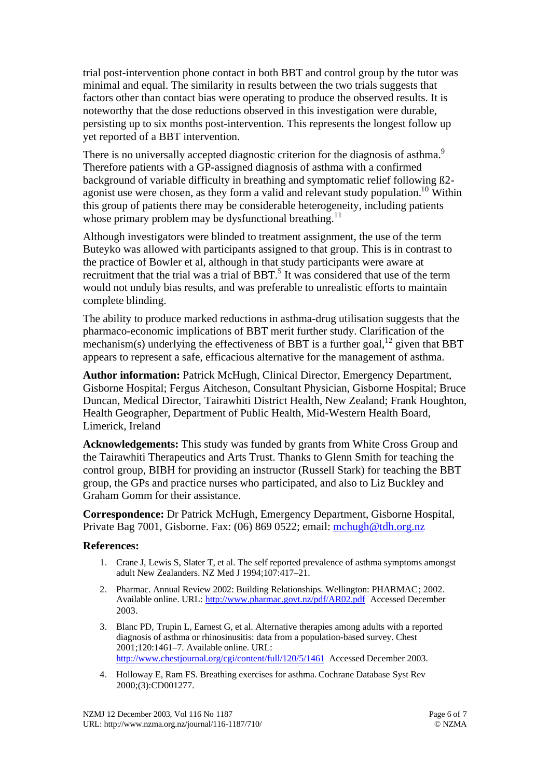trial post-intervention phone contact in both BBT and control group by the tutor was minimal and equal. The similarity in results between the two trials suggests that factors other than contact bias were operating to produce the observed results. It is noteworthy that the dose reductions observed in this investigation were durable, persisting up to six months post-intervention. This represents the longest follow up yet reported of a BBT intervention.

There is no universally accepted diagnostic criterion for the diagnosis of asthma.<sup>9</sup> Therefore patients with a GP-assigned diagnosis of asthma with a confirmed background of variable difficulty in breathing and symptomatic relief following ß2 agonist use were chosen, as they form a valid and relevant study population.<sup>10</sup> Within this group of patients there may be considerable heterogeneity, including patients whose primary problem may be dysfunctional breathing.<sup>11</sup>

Although investigators were blinded to treatment assignment, the use of the term Buteyko was allowed with participants assigned to that group. This is in contrast to the practice of Bowler et al, although in that study participants were aware at recruitment that the trial was a trial of BBT.<sup>5</sup> It was considered that use of the term would not unduly bias results, and was preferable to unrealistic efforts to maintain complete blinding.

The ability to produce marked reductions in asthma-drug utilisation suggests that the pharmaco-economic implications of BBT merit further study. Clarification of the mechanism(s) underlying the effectiveness of BBT is a further goal,  $12$  given that BBT appears to represent a safe, efficacious alternative for the management of asthma.

**Author information:** Patrick McHugh, Clinical Director, Emergency Department, Gisborne Hospital; Fergus Aitcheson, Consultant Physician, Gisborne Hospital; Bruce Duncan, Medical Director, Tairawhiti District Health, New Zealand; Frank Houghton, Health Geographer, Department of Public Health, Mid-Western Health Board, Limerick, Ireland

**Acknowledgements:** This study was funded by grants from White Cross Group and the Tairawhiti Therapeutics and Arts Trust. Thanks to Glenn Smith for teaching the control group, BIBH for providing an instructor (Russell Stark) for teaching the BBT group, the GPs and practice nurses who participated, and also to Liz Buckley and Graham Gomm for their assistance.

**Correspondence:** Dr Patrick McHugh, Emergency Department, Gisborne Hospital, Private Bag 7001, Gisborne. Fax: (06) 869 0522; email: mchugh@tdh.org.nz

#### **References:**

- 1. Crane J, Lewis S, Slater T, et al. The self reported prevalence of asthma symptoms amongst adult New Zealanders. NZ Med J 1994;107:417–21.
- 2. Pharmac. Annual Review 2002: Building Relationships. Wellington: PHARMAC; 2002. Available online. URL: http://www.pharmac.govt.nz/pdf/AR02.pdf Accessed December 2003.
- 3. Blanc PD, Trupin L, Earnest G, et al. Alternative therapies among adults with a reported diagnosis of asthma or rhinosinusitis: data from a population-based survey. Chest 2001;120:1461–7. Available online. URL: http://www.chestiournal.org/cgi/content/full/120/5/1461 Accessed December 2003.
- 4. Holloway E, Ram FS. Breathing exercises for asthma. Cochrane Database Syst Rev 2000;(3):CD001277.